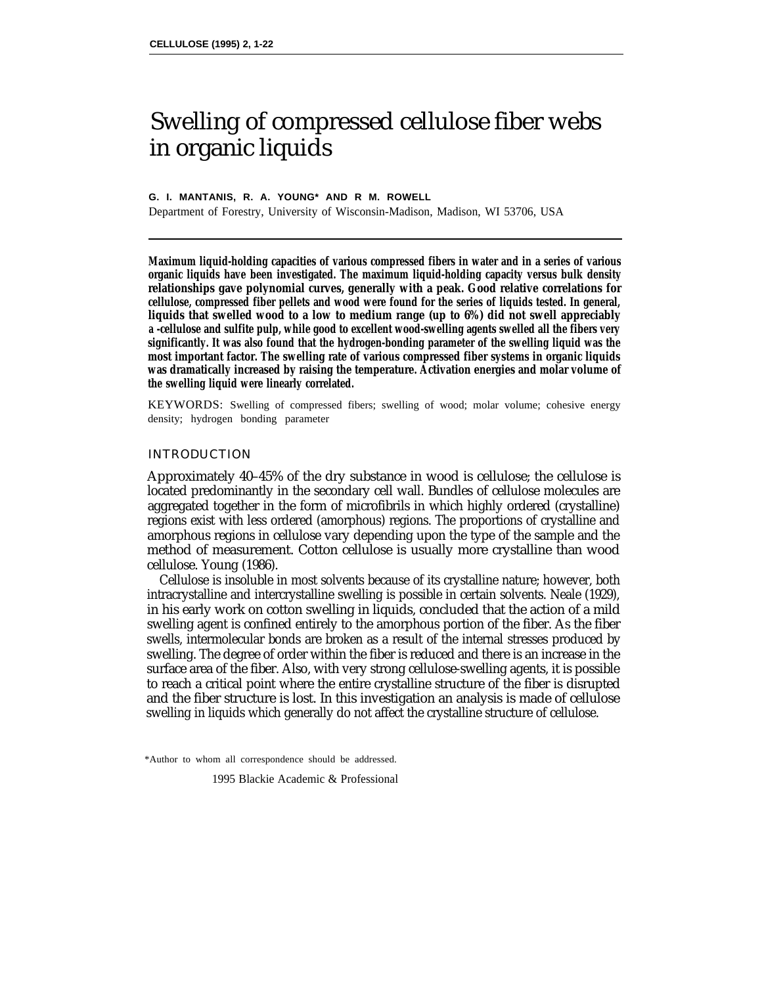# Swelling of compressed cellulose fiber webs in organic liquids

#### **G. I. MANTANIS, R. A. YOUNG\* AND R M. ROWELL**

Department of Forestry, University of Wisconsin-Madison, Madison, WI 53706, USA

**Maximum liquid-holding capacities of various compressed fibers in water and in a series of various organic liquids have been investigated. The maximum liquid-holding capacity versus bulk density relationships gave polynomial curves, generally with a peak. Good relative correlations for cellulose, compressed fiber pellets and wood were found for the series of liquids tested. In general, liquids that swelled wood to a low to medium range (up to 6%) did not swell appreciably** *a* **-cellulose and sulfite pulp, while good to excellent wood-swelling agents swelled all the fibers very significantly. It was also found that the hydrogen-bonding parameter of the swelling liquid was the most important factor. The swelling rate of various compressed fiber systems in organic liquids was dramatically increased by raising the temperature. Activation energies and molar volume of the swelling liquid were linearly correlated.**

KEYWORDS: Swelling of compressed fibers; swelling of wood; molar volume; cohesive energy density; hydrogen bonding parameter

#### INTRODUCTION

Approximately 40–45% of the dry substance in wood is cellulose; the cellulose is located predominantly in the secondary cell wall. Bundles of cellulose molecules are aggregated together in the form of microfibrils in which highly ordered (crystalline) regions exist with less ordered (amorphous) regions. The proportions of crystalline and amorphous regions in cellulose vary depending upon the type of the sample and the method of measurement. Cotton cellulose is usually more crystalline than wood cellulose. Young (1986).

Cellulose is insoluble in most solvents because of its crystalline nature; however, both intracrystalline and intercrystalline swelling is possible in certain solvents. Neale (1929), in his early work on cotton swelling in liquids, concluded that the action of a mild swelling agent is confined entirely to the amorphous portion of the fiber. As the fiber swells, intermolecular bonds are broken as a result of the internal stresses produced by swelling. The degree of order within the fiber is reduced and there is an increase in the surface area of the fiber. Also, with very strong cellulose-swelling agents, it is possible to reach a critical point where the entire crystalline structure of the fiber is disrupted and the fiber structure is lost. In this investigation an analysis is made of cellulose swelling in liquids which generally do not affect the crystalline structure of cellulose.

\*Author to whom all correspondence should be addressed.

1995 Blackie Academic & Professional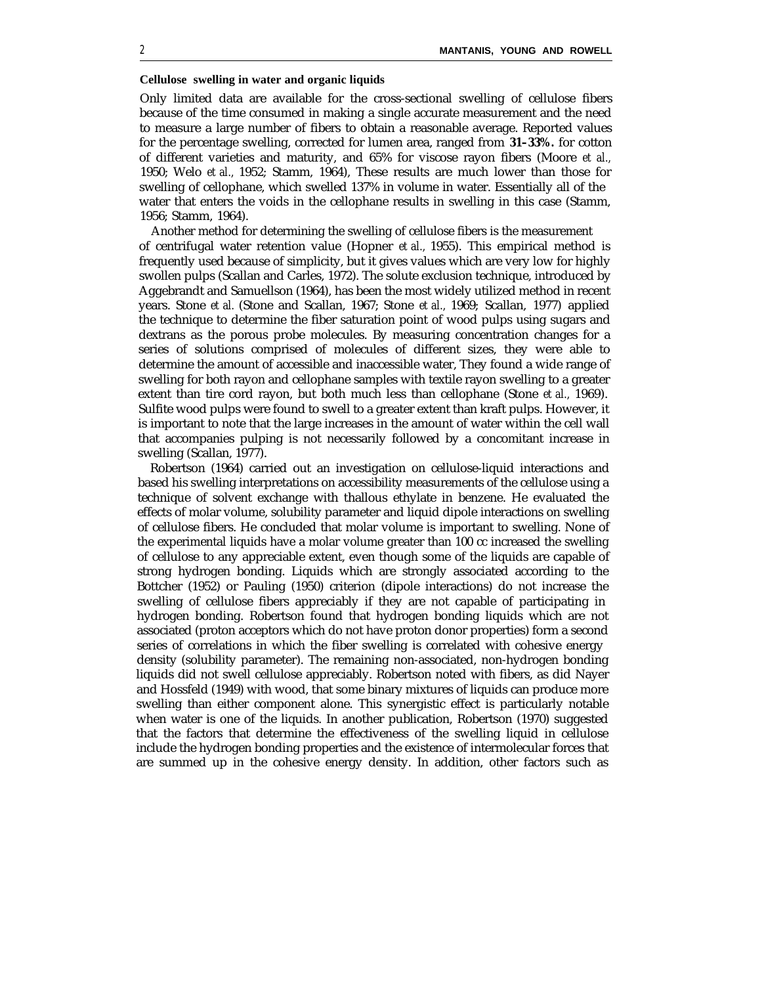#### **Cellulose swelling in water and organic liquids**

Only limited data are available for the cross-sectional swelling of cellulose fibers because of the time consumed in making a single accurate measurement and the need to measure a large number of fibers to obtain a reasonable average. Reported values for the percentage swelling, corrected for lumen area, ranged from **31–33%.** for cotton of different varieties and maturity, and 65% for viscose rayon fibers (Moore *et al.,* 1950; Welo *et al.,* 1952; Stamm, 1964), These results are much lower than those for swelling of cellophane, which swelled 137% in volume in water. Essentially all of the water that enters the voids in the cellophane results in swelling in this case (Stamm, 1956; Stamm, 1964).

Another method for determining the swelling of cellulose fibers is the measurement of centrifugal water retention value (Hopner *et al.,* 1955). This empirical method is frequently used because of simplicity, but it gives values which are very low for highly swollen pulps (Scallan and Carles, 1972). The solute exclusion technique, introduced by Aggebrandt and Samuellson (1964), has been the most widely utilized method in recent years. Stone *et al.* (Stone and Scallan, 1967; Stone *et al.,* 1969; Scallan, 1977) applied the technique to determine the fiber saturation point of wood pulps using sugars and dextrans as the porous probe molecules. By measuring concentration changes for a series of solutions comprised of molecules of different sizes, they were able to determine the amount of accessible and inaccessible water, They found a wide range of swelling for both rayon and cellophane samples with textile rayon swelling to a greater extent than tire cord rayon, but both much less than cellophane (Stone *et al.,* 1969). Sulfite wood pulps were found to swell to a greater extent than kraft pulps. However, it is important to note that the large increases in the amount of water within the cell wall that accompanies pulping is not necessarily followed by a concomitant increase in swelling (Scallan, 1977).

Robertson (1964) carried out an investigation on cellulose-liquid interactions and based his swelling interpretations on accessibility measurements of the cellulose using a technique of solvent exchange with thallous ethylate in benzene. He evaluated the effects of molar volume, solubility parameter and liquid dipole interactions on swelling of cellulose fibers. He concluded that molar volume is important to swelling. None of the experimental liquids have a molar volume greater than 100 cc increased the swelling of cellulose to any appreciable extent, even though some of the liquids are capable of strong hydrogen bonding. Liquids which are strongly associated according to the Bottcher (1952) or Pauling (1950) criterion (dipole interactions) do not increase the swelling of cellulose fibers appreciably if they are not capable of participating in hydrogen bonding. Robertson found that hydrogen bonding liquids which are not associated (proton acceptors which do not have proton donor properties) form a second series of correlations in which the fiber swelling is correlated with cohesive energy density (solubility parameter). The remaining non-associated, non-hydrogen bonding liquids did not swell cellulose appreciably. Robertson noted with fibers, as did Nayer and Hossfeld (1949) with wood, that some binary mixtures of liquids can produce more swelling than either component alone. This synergistic effect is particularly notable when water is one of the liquids. In another publication, Robertson (1970) suggested that the factors that determine the effectiveness of the swelling liquid in cellulose include the hydrogen bonding properties and the existence of intermolecular forces that are summed up in the cohesive energy density. In addition, other factors such as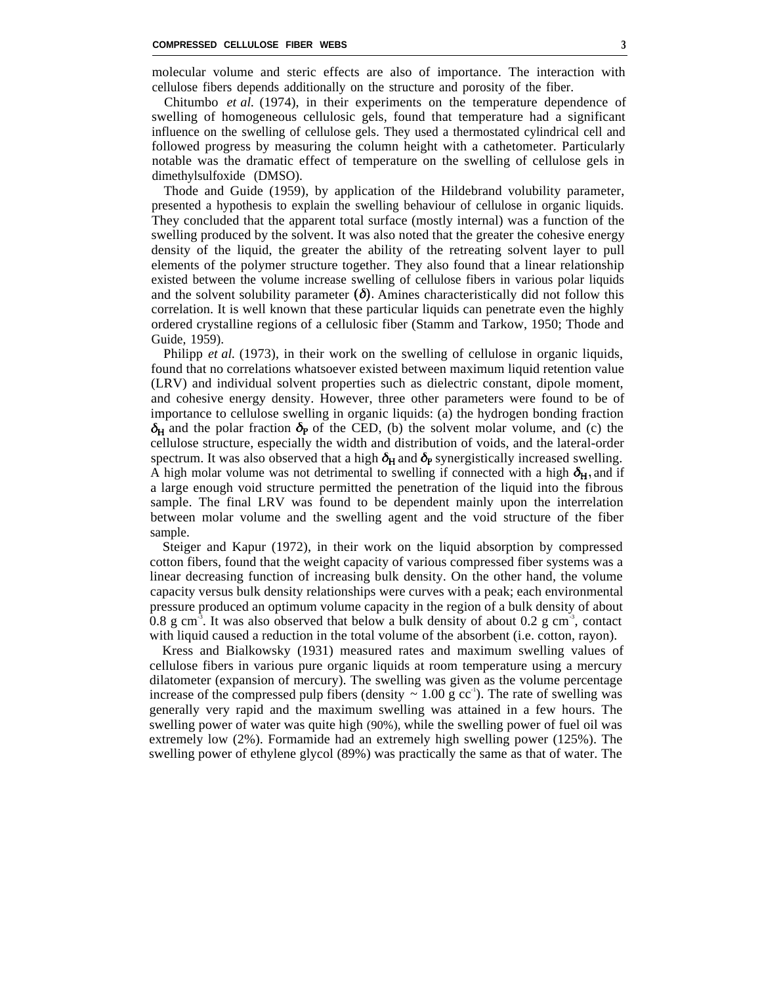molecular volume and steric effects are also of importance. The interaction with cellulose fibers depends additionally on the structure and porosity of the fiber.

Chitumbo *et al.* (1974), in their experiments on the temperature dependence of swelling of homogeneous cellulosic gels, found that temperature had a significant influence on the swelling of cellulose gels. They used a thermostated cylindrical cell and followed progress by measuring the column height with a cathetometer. Particularly notable was the dramatic effect of temperature on the swelling of cellulose gels in dimethylsulfoxide (DMSO).

Thode and Guide (1959), by application of the Hildebrand volubility parameter, presented a hypothesis to explain the swelling behaviour of cellulose in organic liquids. They concluded that the apparent total surface (mostly internal) was a function of the swelling produced by the solvent. It was also noted that the greater the cohesive energy density of the liquid, the greater the ability of the retreating solvent layer to pull elements of the polymer structure together. They also found that a linear relationship existed between the volume increase swelling of cellulose fibers in various polar liquids and the solvent solubility parameter  $(\delta)$ . Amines characteristically did not follow this correlation. It is well known that these particular liquids can penetrate even the highly ordered crystalline regions of a cellulosic fiber (Stamm and Tarkow, 1950; Thode and Guide, 1959).

Philipp *et al.* (1973), in their work on the swelling of cellulose in organic liquids, found that no correlations whatsoever existed between maximum liquid retention value (LRV) and individual solvent properties such as dielectric constant, dipole moment, and cohesive energy density. However, three other parameters were found to be of importance to cellulose swelling in organic liquids: (a) the hydrogen bonding fraction  $\delta_H$  and the polar fraction  $\delta_P$  of the CED, (b) the solvent molar volume, and (c) the cellulose structure, especially the width and distribution of voids, and the lateral-order spectrum. It was also observed that a high  $\delta_H$  and  $\delta_P$  synergistically increased swelling. A high molar volume was not detrimental to swelling if connected with a high  $\delta_H$ , and if a large enough void structure permitted the penetration of the liquid into the fibrous sample. The final LRV was found to be dependent mainly upon the interrelation between molar volume and the swelling agent and the void structure of the fiber sample.

Steiger and Kapur (1972), in their work on the liquid absorption by compressed cotton fibers, found that the weight capacity of various compressed fiber systems was a linear decreasing function of increasing bulk density. On the other hand, the volume capacity versus bulk density relationships were curves with a peak; each environmental pressure produced an optimum volume capacity in the region of a bulk density of about 0.8 g cm<sup>-3</sup>. It was also observed that below a bulk density of about 0.2 g cm<sup>-3</sup>, contact with liquid caused a reduction in the total volume of the absorbent (i.e. cotton, rayon).

Kress and Bialkowsky (1931) measured rates and maximum swelling values of cellulose fibers in various pure organic liquids at room temperature using a mercury dilatometer (expansion of mercury). The swelling was given as the volume percentage increase of the compressed pulp fibers (density  $\sim 1.00 \text{ g cc}^{-1}$ ). The rate of swelling was generally very rapid and the maximum swelling was attained in a few hours. The swelling power of water was quite high (90%), while the swelling power of fuel oil was extremely low (2%). Formamide had an extremely high swelling power (125%). The swelling power of ethylene glycol (89%) was practically the same as that of water. The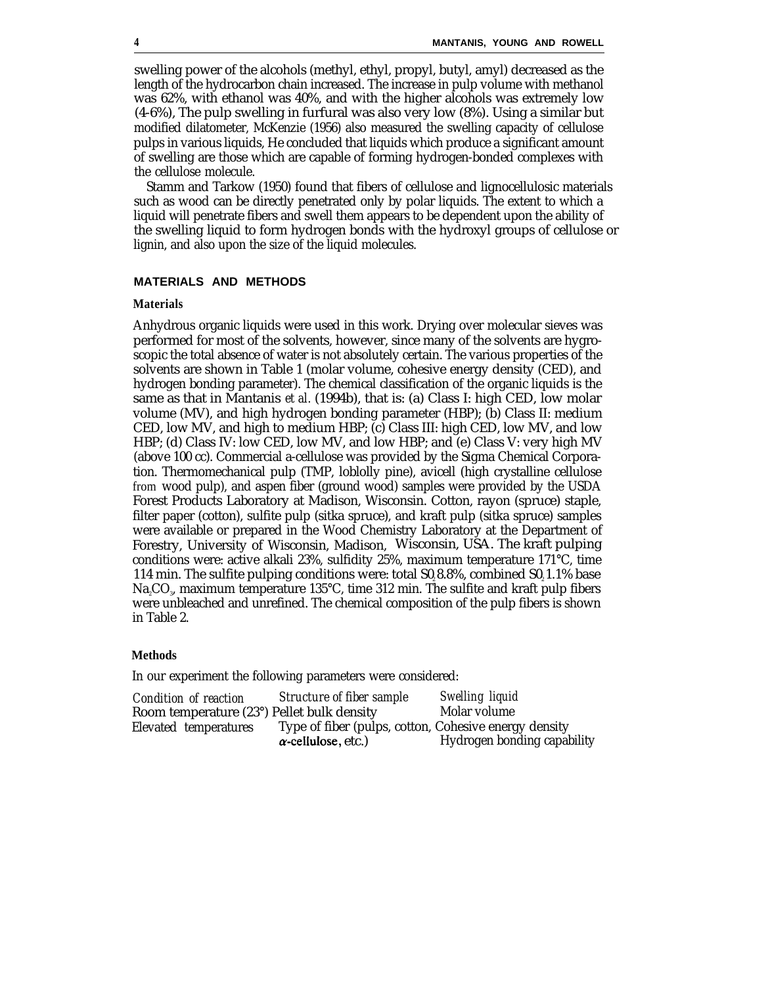swelling power of the alcohols (methyl, ethyl, propyl, butyl, amyl) decreased as the length of the hydrocarbon chain increased. The increase in pulp volume with methanol was 62%, with ethanol was 40%, and with the higher alcohols was extremely low (4-6%), The pulp swelling in furfural was also very low (8%). Using a similar but modified dilatometer, McKenzie (1956) also measured the swelling capacity of cellulose pulps in various liquids, He concluded that liquids which produce a significant amount of swelling are those which are capable of forming hydrogen-bonded complexes with the cellulose molecule.

Stamm and Tarkow (1950) found that fibers of cellulose and lignocellulosic materials such as wood can be directly penetrated only by polar liquids. The extent to which a liquid will penetrate fibers and swell them appears to be dependent upon the ability of the swelling liquid to form hydrogen bonds with the hydroxyl groups of cellulose or lignin, and also upon the size of the liquid molecules.

# **MATERIALS AND METHODS**

#### **Materials**

Anhydrous organic liquids were used in this work. Drying over molecular sieves was performed for most of the solvents, however, since many of the solvents are hygroscopic the total absence of water is not absolutely certain. The various properties of the solvents are shown in Table 1 (molar volume, cohesive energy density (CED), and hydrogen bonding parameter). The chemical classification of the organic liquids is the same as that in Mantanis *et al.* (1994b), that is: (a) Class I: high CED, low molar volume (MV), and high hydrogen bonding parameter (HBP); (b) Class II: medium CED, low MV, and high to medium HBP; (c) Class III: high CED, low MV, and low HBP; (d) Class IV: low CED, low MV, and low HBP; and (e) Class V: very high MV (above 100 cc). Commercial a-cellulose was provided by the Sigma Chemical Corporation. Thermomechanical pulp (TMP, loblolly pine), avicell (high crystalline cellulose from wood pulp), and aspen fiber (ground wood) samples were provided by the USDA Forest Products Laboratory at Madison, Wisconsin. Cotton, rayon (spruce) staple, filter paper (cotton), sulfite pulp (sitka spruce), and kraft pulp (sitka spruce) samples were available or prepared in the Wood Chemistry Laboratory at the Department of Forestry, University of Wisconsin, Madison, Wisconsin, USA. The kraft pulping conditions were: active alkali 23%, sulfidity 25%, maximum temperature 171°C, time 114 min. The sulfite pulping conditions were: total  $S_0, 8.8\%$ , combined  $S_0, 1.1\%$  base  $Na<sub>2</sub>CO<sub>3</sub>$ , maximum temperature 135°C, time 312 min. The sulfite and kraft pulp fibers were unbleached and unrefined. The chemical composition of the pulp fibers is shown in Table 2.

#### **Methods**

In our experiment the following parameters were considered:

| Condition of reaction                      | Structure of fiber sample                             | Swelling liquid             |
|--------------------------------------------|-------------------------------------------------------|-----------------------------|
| Room temperature (23°) Pellet bulk density |                                                       | Molar volume                |
| Elevated temperatures                      | Type of fiber (pulps, cotton, Cohesive energy density |                             |
|                                            | $\alpha$ -cellulose, etc.)                            | Hydrogen bonding capability |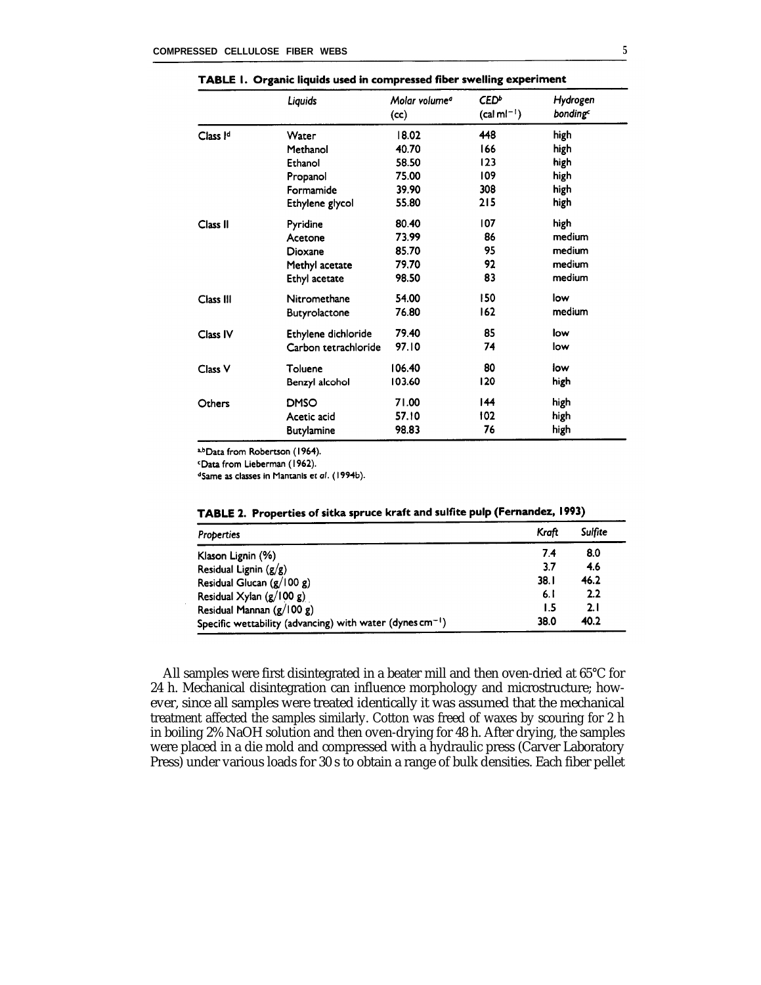|                      | Liquids              | Molar volume <sup>a</sup> | <b>CED<sup>b</sup></b> | Hydrogen             |
|----------------------|----------------------|---------------------------|------------------------|----------------------|
|                      |                      | (cc)                      | $(cal ml-1)$           | bonding <sup>c</sup> |
| Class I <sup>d</sup> | Water                | 18.02                     | 448                    | high                 |
|                      | Methanol             | 40.70                     | 166                    | high                 |
|                      | Ethanol              | 58.50                     | 123                    | high                 |
|                      | Propanol             | 75.00                     | 109                    | high                 |
|                      | Formamide            | 39.90                     | 308                    | high                 |
|                      | Ethylene glycol      | 55.80                     | 215                    | high                 |
| Class II             | Pyridine             | 80.40                     | 107                    | high                 |
|                      | Acetone              | 73.99                     | 86                     | medium               |
|                      | Dioxane              | 85.70                     | 95                     | medium               |
|                      | Methyl acetate       | 79.70                     | 92                     | medium               |
|                      | Ethyl acetate        | 98.50                     | 83                     | medium               |
| Class III            | Nitromethane         | 54.00                     | 150                    | low                  |
|                      | <b>Butyrolactone</b> | 76.80                     | 162                    | medium               |
| Class IV             | Ethylene dichloride  | 79.40                     | 85                     | low                  |
|                      | Carbon tetrachloride | 97.10                     | 74                     | low                  |
| Class <sub>V</sub>   | Toluene              | 106.40                    | 80                     | low                  |
|                      | Benzyl alcohol       | 103.60                    | 120                    | high                 |
| Others               | <b>DMSO</b>          | 71.00                     | 144                    | high                 |
|                      | Acetic acid          | 57.10                     | 102                    | high                 |
|                      | <b>Butylamine</b>    | 98.83                     | 76                     | high                 |

TABLE 1. Organic liquids used in compressed fiber swelling experiment

a,bData from Robertson (1964).

<sup>c</sup>Data from Lieberman (1962).

<sup>d</sup>Same as classes in Mantanis et al. (1994b).

| <b>Properties</b>                                              | Kraft | <b>Sulfite</b> |
|----------------------------------------------------------------|-------|----------------|
| Klason Lignin (%)                                              | 7.4   | 8.0            |
| Residual Lignin $(g/g)$                                        | 3.7   | 4.6            |
| Residual Glucan (g/100 g)                                      | 38.1  | 46.2           |
| Residual Xylan $(g/100 g)$                                     | 6.1   | 2.2            |
| Residual Mannan (g/100 g)                                      | 1.5   | 2.1            |
| Specific wettability (advancing) with water (dynes $cm^{-1}$ ) | 38.0  | 40.2           |

TABLE 2. Properties of sitka spruce kraft and sulfite pulp (Fernandez, 1993)

All samples were first disintegrated in a beater mill and then oven-dried at 65°C for 24 h. Mechanical disintegration can influence morphology and microstructure; however, since all samples were treated identically it was assumed that the mechanical treatment affected the samples similarly. Cotton was freed of waxes by scouring for 2 h in boiling 2% NaOH solution and then oven-drying for 48 h. After drying, the samples were placed in a die mold and compressed with a hydraulic press (Carver Laboratory Press) under various loads for 30 s to obtain a range of bulk densities. Each fiber pellet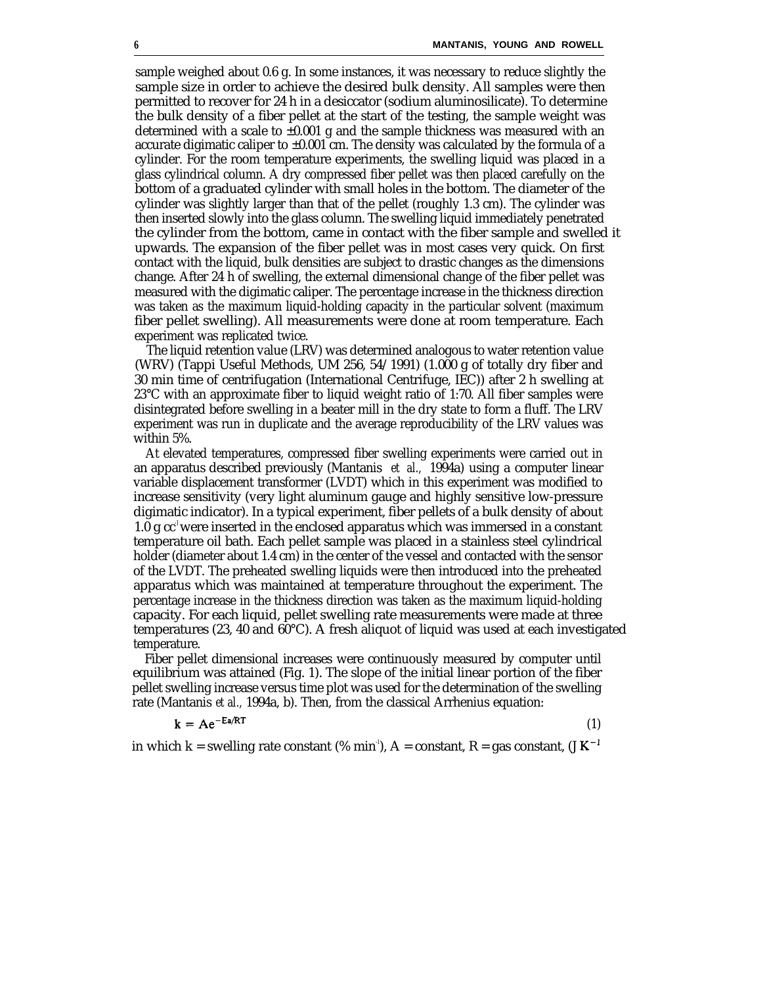sample weighed about 0.6 g. In some instances, it was necessary to reduce slightly the sample size in order to achieve the desired bulk density. All samples were then permitted to recover for 24 h in a desiccator (sodium aluminosilicate). To determine the bulk density of a fiber pellet at the start of the testing, the sample weight was determined with a scale to  $\pm 0.001$  g and the sample thickness was measured with an accurate digimatic caliper to  $\pm 0.001$  cm. The density was calculated by the formula of a cylinder. For the room temperature experiments, the swelling liquid was placed in a glass cylindrical column. A dry compressed fiber pellet was then placed carefully on the bottom of a graduated cylinder with small holes in the bottom. The diameter of the cylinder was slightly larger than that of the pellet (roughly 1.3 cm). The cylinder was then inserted slowly into the glass column. The swelling liquid immediately penetrated the cylinder from the bottom, came in contact with the fiber sample and swelled it upwards. The expansion of the fiber pellet was in most cases very quick. On first contact with the liquid, bulk densities are subject to drastic changes as the dimensions change. After 24 h of swelling, the external dimensional change of the fiber pellet was measured with the digimatic caliper. The percentage increase in the thickness direction was taken as the maximum liquid-holding capacity in the particular solvent (maximum fiber pellet swelling). All measurements were done at room temperature. Each experiment was replicated twice.

The liquid retention value (LRV) was determined analogous to water retention value (WRV) (Tappi Useful Methods, UM 256,  $54/1991$ ) (1.000 g of totally dry fiber and 30 min time of centrifugation (International Centrifuge, IEC)) after 2 h swelling at 23°C with an approximate fiber to liquid weight ratio of 1:70. All fiber samples were disintegrated before swelling in a beater mill in the dry state to form a fluff. The LRV experiment was run in duplicate and the average reproducibility of the LRV values was within 5%.

At elevated temperatures, compressed fiber swelling experiments were carried out in an apparatus described previously (Mantanis *et al.,* 1994a) using a computer linear variable displacement transformer (LVDT) which in this experiment was modified to increase sensitivity (very light aluminum gauge and highly sensitive low-pressure digimatic indicator). In a typical experiment, fiber pellets of a bulk density of about 1.0 g  $cc<sup>1</sup>$  were inserted in the enclosed apparatus which was immersed in a constant temperature oil bath. Each pellet sample was placed in a stainless steel cylindrical holder (diameter about 1.4 cm) in the center of the vessel and contacted with the sensor of the LVDT. The preheated swelling liquids were then introduced into the preheated apparatus which was maintained at temperature throughout the experiment. The percentage increase in the thickness direction was taken as the maximum liquid-holding capacity. For each liquid, pellet swelling rate measurements were made at three temperatures (23, 40 and 60°C). A fresh aliquot of liquid was used at each investigated temperature.

Fiber pellet dimensional increases were continuously measured by computer until equilibrium was attained (Fig. 1). The slope of the initial linear portion of the fiber pellet swelling increase versus time plot was used for the determination of the swelling rate (Mantanis *et al.,* 1994a, b). Then, from the classical Arrhenius equation:

$$
k = Ae^{-Ea/RT}
$$
 (1)

in which k = swelling rate constant (% min<sup>-)</sup>, A = constant, R = gas constant,  $[J K^{-1}]$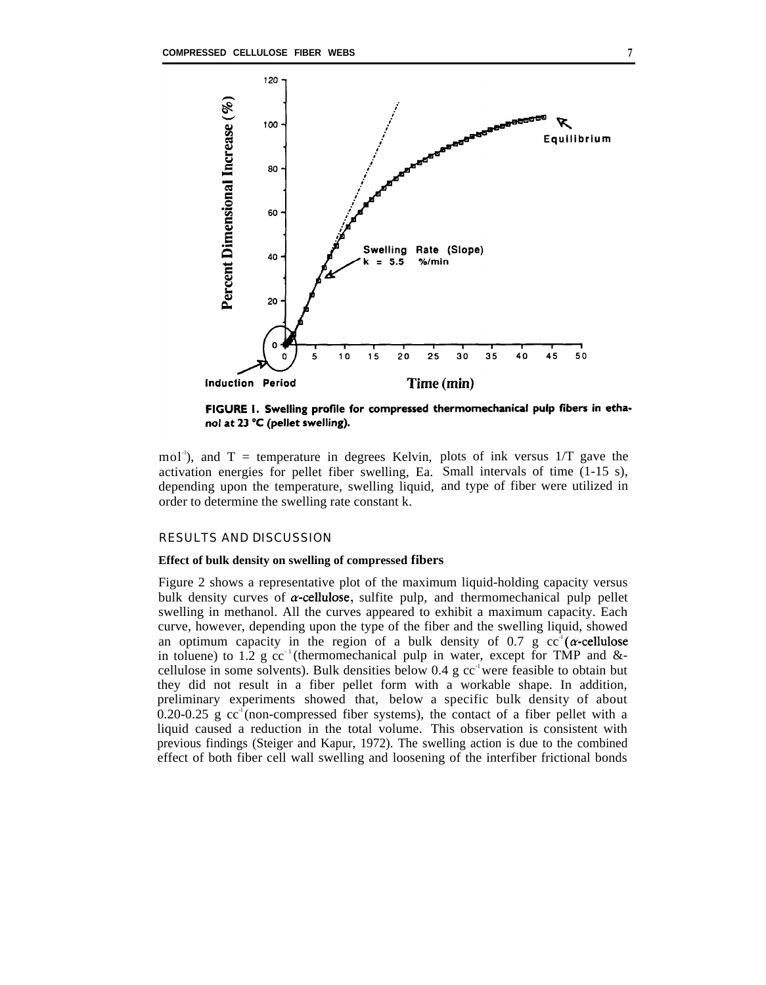

FIGURE 1. Swelling profile for compressed thermomechanical pulp fibers in ethanol at 23 °C (pellet swelling).

mol<sup>-1</sup>), and  $T =$  temperature in degrees Kelvin, plots of ink versus  $1/T$  gave the activation energies for pellet fiber swelling, Ea. Small intervals of time (1-15 s), depending upon the temperature, swelling liquid, and type of fiber were utilized in order to determine the swelling rate constant k.

## RESULTS AND DISCUSSION

## **Effect of bulk density on swelling of compressed fibers**

Figure 2 shows a representative plot of the maximum liquid-holding capacity versus bulk density curves of  $\alpha$ -cellulose, sulfite pulp, and thermomechanical pulp pellet swelling in methanol. All the curves appeared to exhibit a maximum capacity. Each curve, however, depending upon the type of the fiber and the swelling liquid, showed an optimum capacity in the region of a bulk density of 0.7 g  $cc^{-1}$  ( $\alpha$ -cellulose in toluene) to 1.2 g cc<sup>-1</sup>(thermomechanical pulp in water, except for TMP and &cellulose in some solvents). Bulk densities below  $0.4 \text{ g cc}^{-1}$  were feasible to obtain but they did not result in a fiber pellet form with a workable shape. In addition, preliminary experiments showed that, below a specific bulk density of about 0.20-0.25 g  $cc^1$  (non-compressed fiber systems), the contact of a fiber pellet with a liquid caused a reduction in the total volume. This observation is consistent with previous findings (Steiger and Kapur, 1972). The swelling action is due to the combined effect of both fiber cell wall swelling and loosening of the interfiber frictional bonds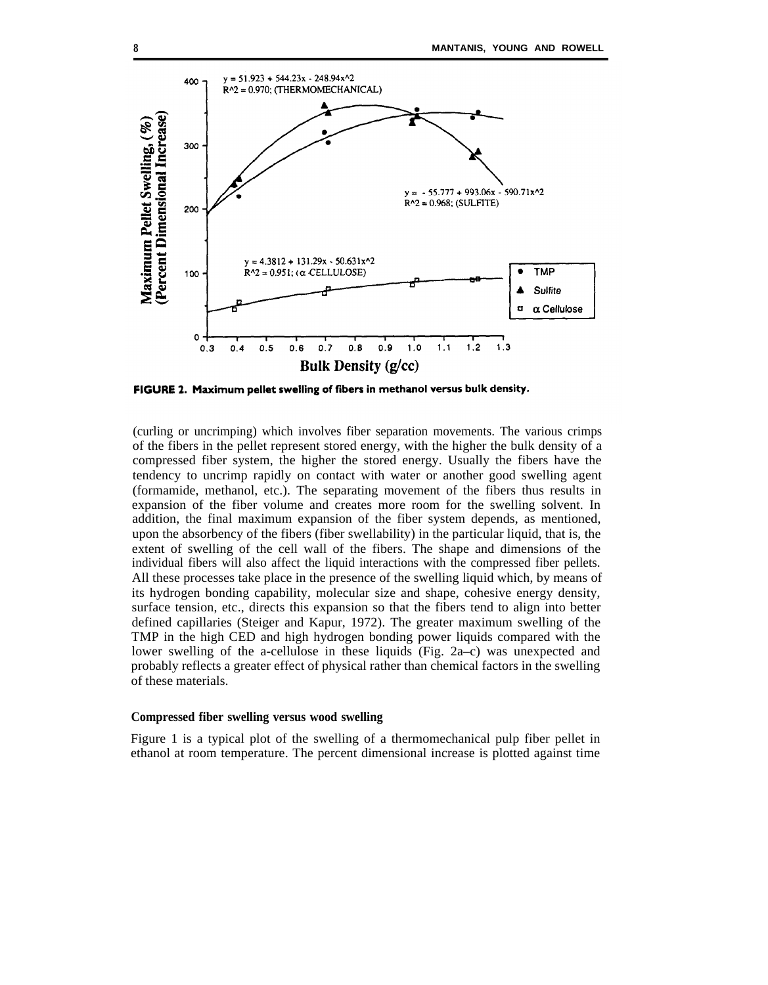

FIGURE 2. Maximum pellet swelling of fibers in methanol versus bulk density.

(curling or uncrimping) which involves fiber separation movements. The various crimps of the fibers in the pellet represent stored energy, with the higher the bulk density of a compressed fiber system, the higher the stored energy. Usually the fibers have the tendency to uncrimp rapidly on contact with water or another good swelling agent (formamide, methanol, etc.). The separating movement of the fibers thus results in expansion of the fiber volume and creates more room for the swelling solvent. In addition, the final maximum expansion of the fiber system depends, as mentioned, upon the absorbency of the fibers (fiber swellability) in the particular liquid, that is, the extent of swelling of the cell wall of the fibers. The shape and dimensions of the individual fibers will also affect the liquid interactions with the compressed fiber pellets. All these processes take place in the presence of the swelling liquid which, by means of its hydrogen bonding capability, molecular size and shape, cohesive energy density, surface tension, etc., directs this expansion so that the fibers tend to align into better defined capillaries (Steiger and Kapur, 1972). The greater maximum swelling of the TMP in the high CED and high hydrogen bonding power liquids compared with the lower swelling of the a-cellulose in these liquids (Fig. 2a–c) was unexpected and probably reflects a greater effect of physical rather than chemical factors in the swelling of these materials.

## **Compressed fiber swelling versus wood swelling**

Figure 1 is a typical plot of the swelling of a thermomechanical pulp fiber pellet in ethanol at room temperature. The percent dimensional increase is plotted against time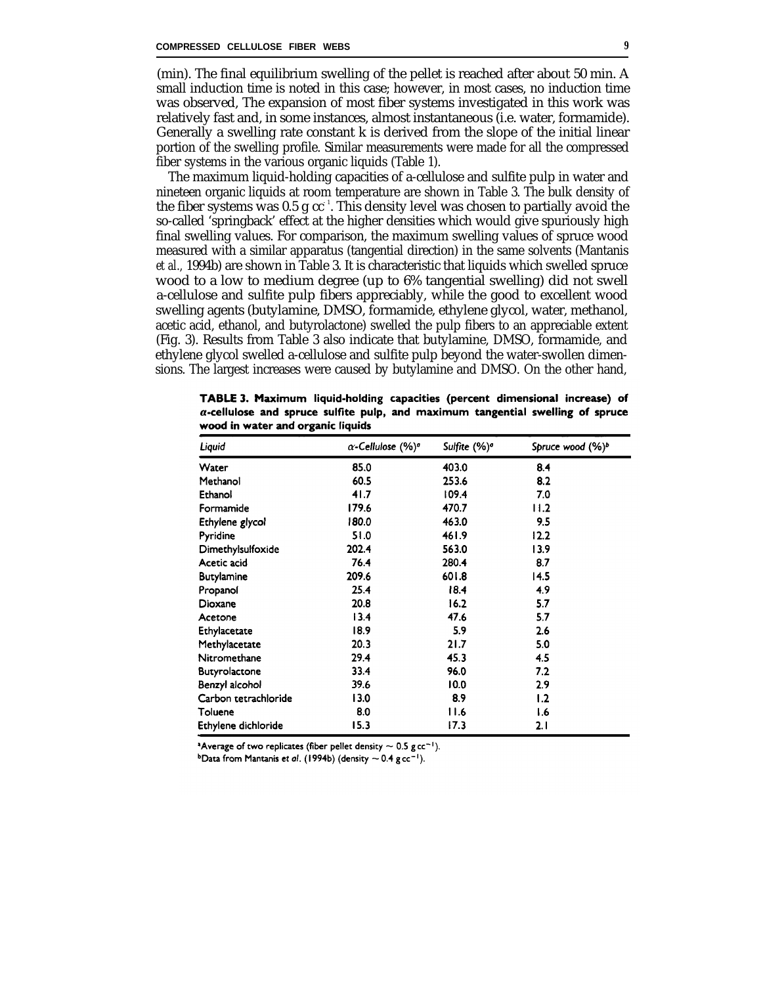(min). The final equilibrium swelling of the pellet is reached after about 50 min. A small induction time is noted in this case; however, in most cases, no induction time was observed, The expansion of most fiber systems investigated in this work was relatively fast and, in some instances, almost instantaneous (i.e. water, formamide). Generally a swelling rate constant k is derived from the slope of the initial linear portion of the swelling profile. Similar measurements were made for all the compressed fiber systems in the various organic liquids (Table 1).

The maximum liquid-holding capacities of a-cellulose and sulfite pulp in water and nineteen organic liquids at room temperature are shown in Table 3. The bulk density of the fiber systems was 0.5 g  $\rm cc$  '. This density level was chosen to partially avoid the so-called 'springback' effect at the higher densities which would give spuriously high final swelling values. For comparison, the maximum swelling values of spruce wood measured with a similar apparatus (tangential direction) in the same solvents (Mantanis *et al.,* 1994b) are shown in Table 3. It is characteristic that liquids which swelled spruce wood to a low to medium degree (up to 6% tangential swelling) did not swell a-cellulose and sulfite pulp fibers appreciably, while the good to excellent wood swelling agents (butylamine, DMSO, formamide, ethylene glycol, water, methanol, acetic acid, ethanol, and butyrolactone) swelled the pulp fibers to an appreciable extent (Fig. 3). Results from Table 3 also indicate that butylamine, DMSO, formamide, and ethylene glycol swelled a-cellulose and sulfite pulp beyond the water-swollen dimensions. The largest increases were caused by butylamine and DMSO. On the other hand,

| Liquid               | $\alpha$ -Cellulose (%) <sup>o</sup> | Sulfite (%) <sup>o</sup> | Spruce wood (%)b |
|----------------------|--------------------------------------|--------------------------|------------------|
| Water                | 85.0                                 | 403.0                    | 8.4              |
| Methanol             | 60.5                                 | 253.6                    | 8.2              |
| Ethanol              | 41.7                                 | 109.4                    | 7.0              |
| Formamide            | 179.6                                | 470.7                    | 11.2             |
| Ethylene glycol      | 180.0                                | 463.0                    | 9.5              |
| Pyridine             | 51.0                                 | 461.9                    | 12.2             |
| Dimethylsulfoxide    | 202.4                                | 563.0                    | 13.9             |
| Acetic acid          | 76.4                                 | 280.4                    | 8.7              |
| <b>Butylamine</b>    | 209.6                                | 601.8                    | 14.5             |
| Propanol             | 25.4                                 | 18.4                     | 4.9              |
| Dioxane              | 20.8                                 | 16.2                     | 5.7              |
| Acetone              | 13.4                                 | 47.6                     | 5.7              |
| Ethylacetate         | 18.9                                 | 5.9                      | 2.6              |
| Methylacetate        | 20.3                                 | 21.7                     | 5.0              |
| Nitromethane         | 29.4                                 | 45.3                     | 4.5              |
| Butyrolactone        | 33.4                                 | 96.0                     | 7.2              |
| Benzyl alcohol       | 39.6                                 | 10.0                     | 2.9              |
| Carbon tetrachloride | 13.0                                 | 8.9                      | 1.2              |
| Toluene              | 8.0                                  | 11.6                     | 1.6              |
| Ethylene dichloride  | 15.3                                 | 17.3                     | 2.1              |

TABLE 3. Maximum liquid-holding capacities (percent dimensional increase) of  $\alpha$ -cellulose and spruce sulfite pulp, and maximum tangential swelling of spruce wood in water and organic liquids

\*Average of two replicates (fiber pellet density  $\sim 0.5$  g cc<sup>-1</sup>).

<sup>b</sup>Data from Mantanis et al. (1994b) (density  $\sim$  0.4 g cc<sup>-1</sup>).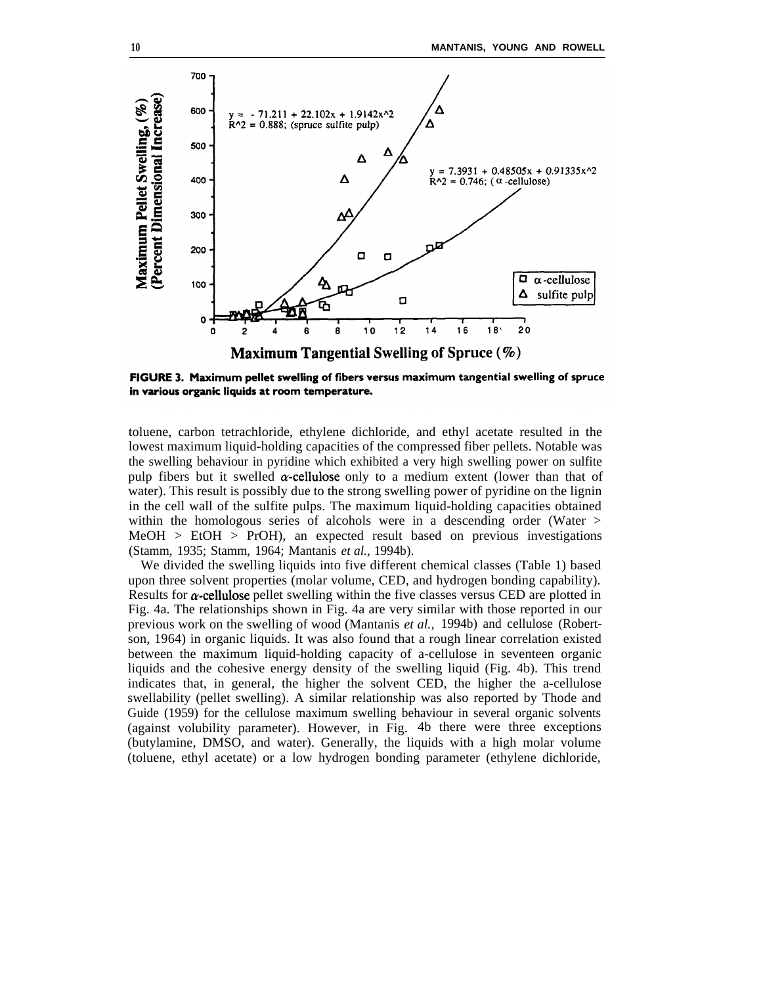

FIGURE 3. Maximum pellet swelling of fibers versus maximum tangential swelling of spruce in various organic liquids at room temperature.

toluene, carbon tetrachloride, ethylene dichloride, and ethyl acetate resulted in the lowest maximum liquid-holding capacities of the compressed fiber pellets. Notable was the swelling behaviour in pyridine which exhibited a very high swelling power on sulfite pulp fibers but it swelled  $\alpha$ -cellulose only to a medium extent (lower than that of water). This result is possibly due to the strong swelling power of pyridine on the lignin in the cell wall of the sulfite pulps. The maximum liquid-holding capacities obtained within the homologous series of alcohols were in a descending order (Water >  $MeOH > EtOH > ProH$ ), an expected result based on previous investigations (Stamm, 1935; Stamm, 1964; Mantanis *et al.,* 1994b).

We divided the swelling liquids into five different chemical classes (Table 1) based upon three solvent properties (molar volume, CED, and hydrogen bonding capability). Results for  $\alpha$ -cellulose pellet swelling within the five classes versus CED are plotted in Fig. 4a. The relationships shown in Fig. 4a are very similar with those reported in our previous work on the swelling of wood (Mantanis *et al.,* 1994b) and cellulose (Robertson, 1964) in organic liquids. It was also found that a rough linear correlation existed between the maximum liquid-holding capacity of a-cellulose in seventeen organic liquids and the cohesive energy density of the swelling liquid (Fig. 4b). This trend indicates that, in general, the higher the solvent CED, the higher the a-cellulose swellability (pellet swelling). A similar relationship was also reported by Thode and Guide (1959) for the cellulose maximum swelling behaviour in several organic solvents (against volubility parameter). However, in Fig. 4b there were three exceptions (butylamine, DMSO, and water). Generally, the liquids with a high molar volume (toluene, ethyl acetate) or a low hydrogen bonding parameter (ethylene dichloride,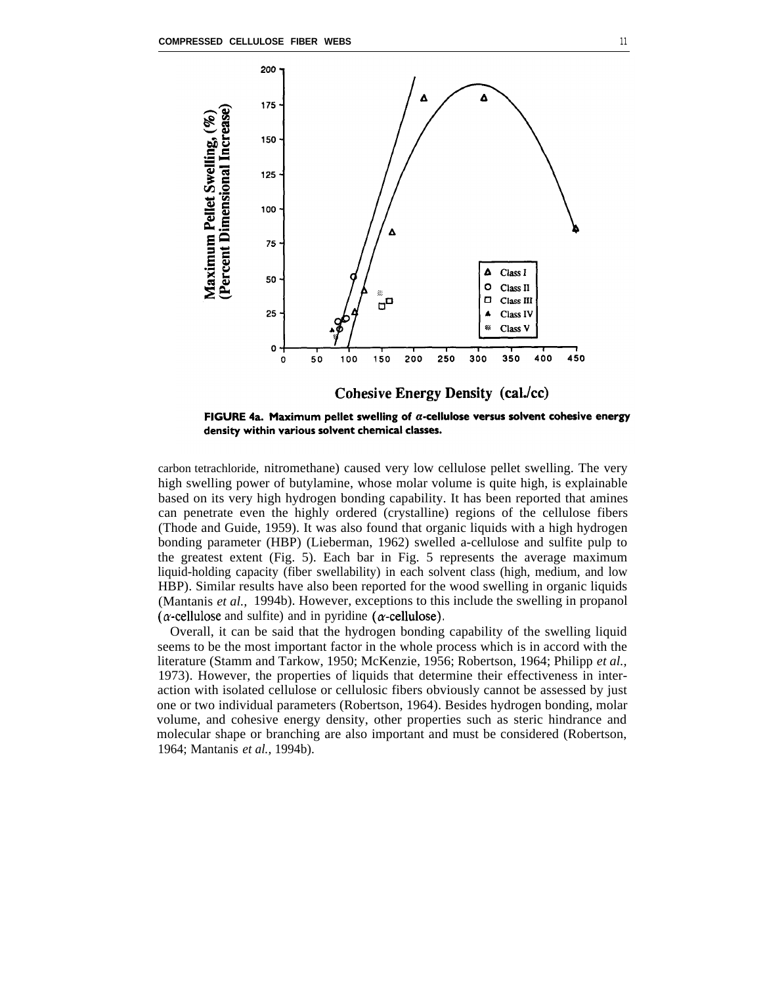

FIGURE 4a. Maximum pellet swelling of  $\alpha$ -cellulose versus solvent cohesive energy density within various solvent chemical classes.

carbon tetrachloride, nitromethane) caused very low cellulose pellet swelling. The very high swelling power of butylamine, whose molar volume is quite high, is explainable based on its very high hydrogen bonding capability. It has been reported that amines can penetrate even the highly ordered (crystalline) regions of the cellulose fibers (Thode and Guide, 1959). It was also found that organic liquids with a high hydrogen bonding parameter (HBP) (Lieberman, 1962) swelled a-cellulose and sulfite pulp to the greatest extent (Fig. 5). Each bar in Fig. 5 represents the average maximum liquid-holding capacity (fiber swellability) in each solvent class (high, medium, and low HBP). Similar results have also been reported for the wood swelling in organic liquids (Mantanis *et al.,* 1994b). However, exceptions to this include the swelling in propanol ( $\alpha$ -cellulose and sulfite) and in pyridine ( $\alpha$ -cellulose).

Overall, it can be said that the hydrogen bonding capability of the swelling liquid seems to be the most important factor in the whole process which is in accord with the literature (Stamm and Tarkow, 1950; McKenzie, 1956; Robertson, 1964; Philipp *et al.,* 1973). However, the properties of liquids that determine their effectiveness in interaction with isolated cellulose or cellulosic fibers obviously cannot be assessed by just one or two individual parameters (Robertson, 1964). Besides hydrogen bonding, molar volume, and cohesive energy density, other properties such as steric hindrance and molecular shape or branching are also important and must be considered (Robertson, 1964; Mantanis *et al.,* 1994b).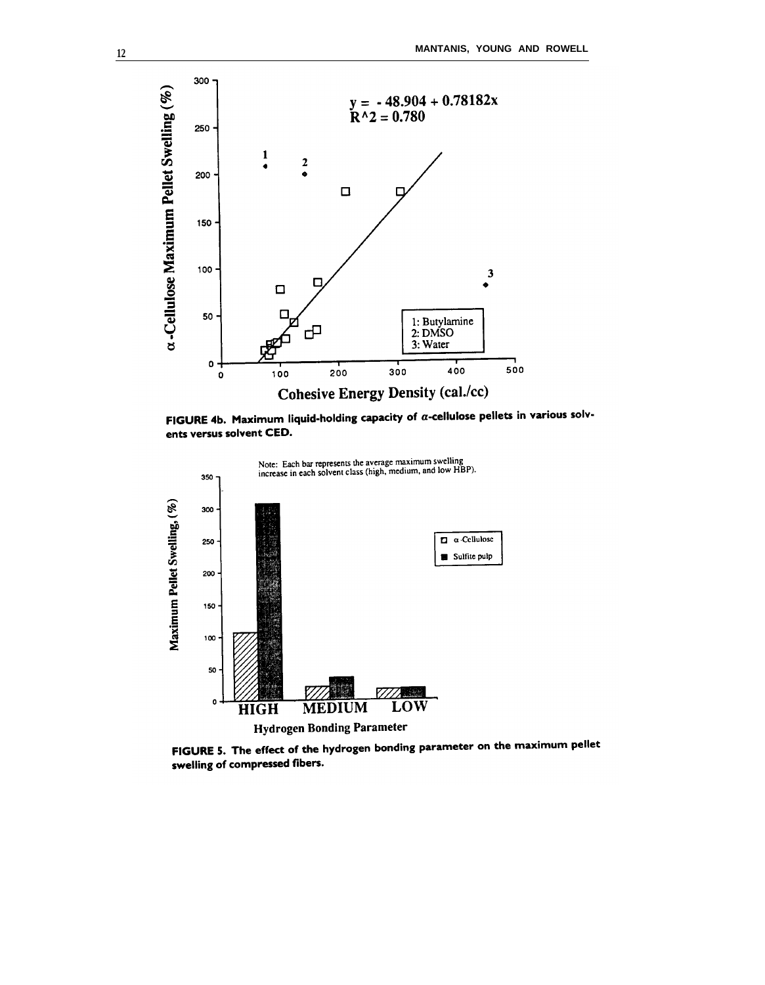

FIGURE 4b. Maximum liquid-holding capacity of  $\alpha$ -cellulose pellets in various solvents versus solvent CED.



FIGURE 5. The effect of the hydrogen bonding parameter on the maximum pellet swelling of compressed fibers.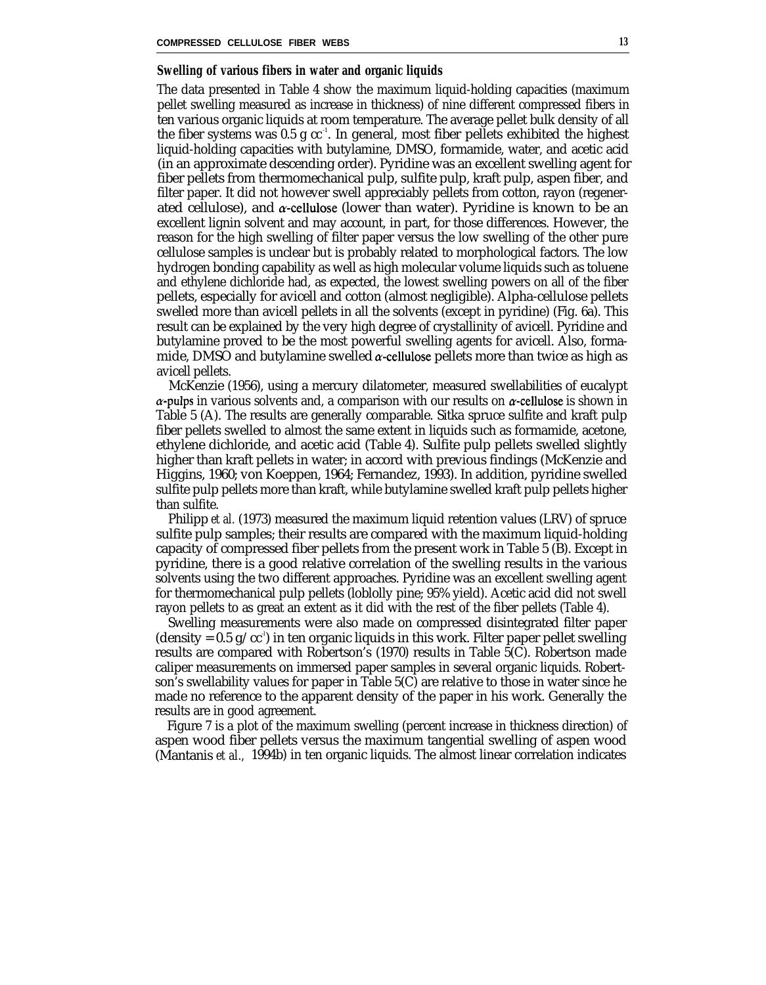## **Swelling of various fibers in water and organic liquids**

The data presented in Table 4 show the maximum liquid-holding capacities (maximum pellet swelling measured as increase in thickness) of nine different compressed fibers in ten various organic liquids at room temperature. The average pellet bulk density of all the fiber systems was 0.5 g  $cc<sup>3</sup>$ . In general, most fiber pellets exhibited the highest liquid-holding capacities with butylamine, DMSO, formamide, water, and acetic acid (in an approximate descending order). Pyridine was an excellent swelling agent for fiber pellets from thermomechanical pulp, sulfite pulp, kraft pulp, aspen fiber, and filter paper. It did not however swell appreciably pellets from cotton, rayon (regenerated cellulose), and  $\alpha$ -cellulose (lower than water). Pyridine is known to be an excellent lignin solvent and may account, in part, for those differences. However, the reason for the high swelling of filter paper versus the low swelling of the other pure cellulose samples is unclear but is probably related to morphological factors. The low hydrogen bonding capability as well as high molecular volume liquids such as toluene and ethylene dichloride had, as expected, the lowest swelling powers on all of the fiber pellets, especially for avicell and cotton (almost negligible). Alpha-cellulose pellets swelled more than avicell pellets in all the solvents (except in pyridine) (Fig. 6a). This result can be explained by the very high degree of crystallinity of avicell. Pyridine and butylamine proved to be the most powerful swelling agents for avicell. Also, formamide, DMSO and butylamine swelled  $\alpha$ -cellulose pellets more than twice as high as avicell pellets.

McKenzie (1956), using a mercury dilatometer, measured swellabilities of eucalypt  $\alpha$ -pulps in various solvents and, a comparison with our results on  $\alpha$ -cellulose is shown in Table 5 (A). The results are generally comparable. Sitka spruce sulfite and kraft pulp fiber pellets swelled to almost the same extent in liquids such as formamide, acetone, ethylene dichloride, and acetic acid (Table 4). Sulfite pulp pellets swelled slightly higher than kraft pellets in water; in accord with previous findings (McKenzie and Higgins, 1960; von Koeppen, 1964; Fernandez, 1993). In addition, pyridine swelled sulfite pulp pellets more than kraft, while butylamine swelled kraft pulp pellets higher than sulfite.

Philipp *et al.* (1973) measured the maximum liquid retention values (LRV) of spruce sulfite pulp samples; their results are compared with the maximum liquid-holding capacity of compressed fiber pellets from the present work in Table 5 (B). Except in pyridine, there is a good relative correlation of the swelling results in the various solvents using the two different approaches. Pyridine was an excellent swelling agent for thermomechanical pulp pellets (loblolly pine; 95% yield). Acetic acid did not swell rayon pellets to as great an extent as it did with the rest of the fiber pellets (Table 4).

Swelling measurements were also made on compressed disintegrated filter paper (density =  $0.5$  g/cc<sup>+</sup>) in ten organic liquids in this work. Filter paper pellet swelling results are compared with Robertson's (1970) results in Table 5(C). Robertson made caliper measurements on immersed paper samples in several organic liquids. Robertson's swellability values for paper in Table 5(C) are relative to those in water since he made no reference to the apparent density of the paper in his work. Generally the results are in good agreement.

Figure 7 is a plot of the maximum swelling (percent increase in thickness direction) of aspen wood fiber pellets versus the maximum tangential swelling of aspen wood (Mantanis *et al.,* 1994b) in ten organic liquids. The almost linear correlation indicates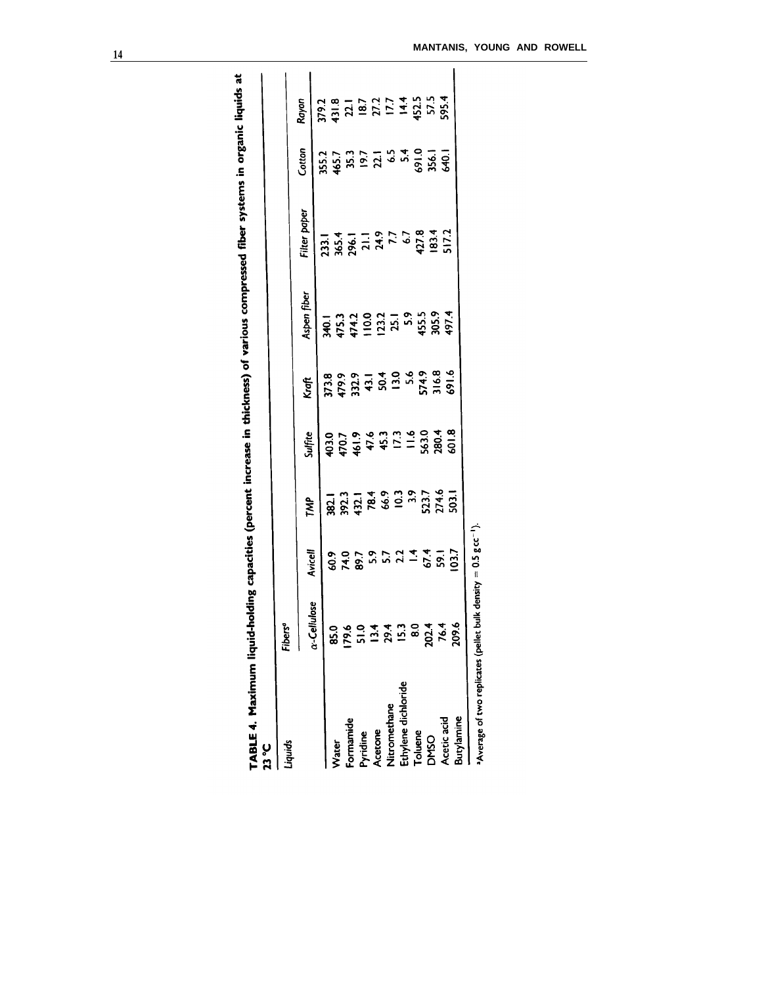| Liquids                                                           | <b>Fibers<sup>a</sup></b> |                                              |                                                      |                                                                 |                                                         |                                                           |                                                                    |                                                               |                                                                                                                   |
|-------------------------------------------------------------------|---------------------------|----------------------------------------------|------------------------------------------------------|-----------------------------------------------------------------|---------------------------------------------------------|-----------------------------------------------------------|--------------------------------------------------------------------|---------------------------------------------------------------|-------------------------------------------------------------------------------------------------------------------|
|                                                                   | lose<br>$\alpha$ -Cellu   | Avicell                                      | TMP                                                  | Sulfite                                                         | Kraft                                                   | spen fiber                                                | Filter paper                                                       | Cotton                                                        | Rayon                                                                                                             |
|                                                                   |                           |                                              |                                                      |                                                                 |                                                         |                                                           |                                                                    |                                                               |                                                                                                                   |
|                                                                   |                           |                                              |                                                      |                                                                 |                                                         |                                                           |                                                                    |                                                               |                                                                                                                   |
| <b>Water</b>                                                      |                           |                                              |                                                      |                                                                 |                                                         |                                                           |                                                                    |                                                               |                                                                                                                   |
| <b>Formamide</b>                                                  |                           |                                              |                                                      |                                                                 |                                                         |                                                           |                                                                    |                                                               |                                                                                                                   |
| Pyridine                                                          |                           |                                              |                                                      |                                                                 |                                                         |                                                           |                                                                    |                                                               |                                                                                                                   |
|                                                                   |                           |                                              |                                                      |                                                                 |                                                         |                                                           |                                                                    |                                                               |                                                                                                                   |
|                                                                   |                           |                                              |                                                      |                                                                 |                                                         |                                                           |                                                                    |                                                               |                                                                                                                   |
|                                                                   |                           |                                              |                                                      |                                                                 |                                                         |                                                           |                                                                    |                                                               |                                                                                                                   |
| Acetone<br>Nitromethane<br>Ethylene dichloride<br>Toluene<br>DMSO |                           | 9 3 5 9 5 7 4 5 5 7<br>9 4 8 5 5 7 4 5 5 6 7 | 382.1<br>392.3<br>432.1 78.4<br>503.7<br>503.1 503.1 | 493.0<br>470.7<br>47.4 47.7 1 48.00 4<br>47.4 4 1 1 4 6 9 0 4 8 | 3738<br>479.9<br>479.9<br>431.43 54.9<br>574.9<br>591.6 | 340.1<br>475.3<br>474.2<br>49.2<br>49.3<br>497.4<br>497.4 | 233.1<br>365.4<br>296.1<br>24.9<br>27.1<br>427.8<br>427.8<br>517.2 | 355.2<br>465.7<br>35.3<br>35.3<br>45<br>55.7<br>55.8<br>540.1 | $\frac{379.2}{431.8}$<br>$\frac{37.7}{27.7}$<br>$\frac{37.7}{27.7}$<br>$\frac{47.5}{27.5}$<br>$\frac{57.4}{27.4}$ |
|                                                                   |                           |                                              |                                                      |                                                                 |                                                         |                                                           |                                                                    |                                                               |                                                                                                                   |
|                                                                   |                           |                                              |                                                      |                                                                 |                                                         |                                                           |                                                                    |                                                               |                                                                                                                   |
|                                                                   |                           |                                              |                                                      |                                                                 |                                                         |                                                           |                                                                    |                                                               |                                                                                                                   |
| Acetic acid                                                       |                           |                                              |                                                      |                                                                 |                                                         |                                                           |                                                                    |                                                               |                                                                                                                   |
| <b>Butylamine</b>                                                 |                           |                                              |                                                      |                                                                 |                                                         |                                                           |                                                                    |                                                               |                                                                                                                   |

**A**  $\frac{1}{2}$  A  $\frac{1}{2}$  of two replicates (pellet bulk density = 0.5 g cc<sup>-1</sup>).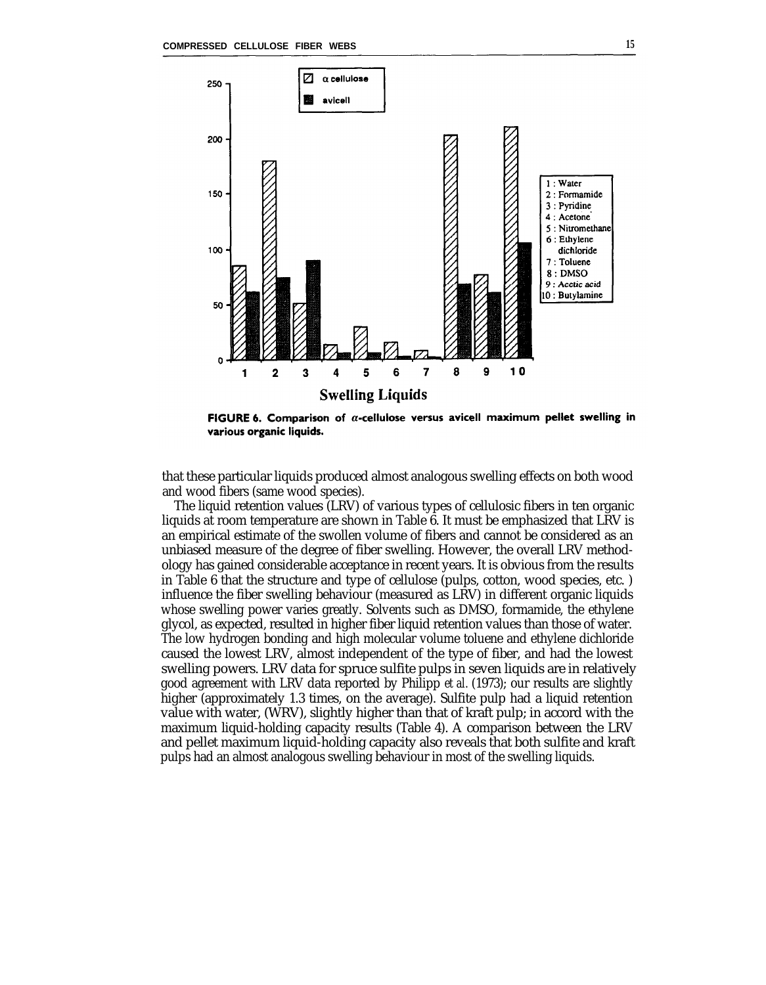

FIGURE 6. Comparison of  $\alpha$ -cellulose versus avicell maximum pellet swelling in various organic liquids.

that these particular liquids produced almost analogous swelling effects on both wood and wood fibers (same wood species).

The liquid retention values (LRV) of various types of cellulosic fibers in ten organic liquids at room temperature are shown in Table 6. It must be emphasized that LRV is an empirical estimate of the swollen volume of fibers and cannot be considered as an unbiased measure of the degree of fiber swelling. However, the overall LRV methodology has gained considerable acceptance in recent years. It is obvious from the results in Table 6 that the structure and type of cellulose (pulps, cotton, wood species, etc. ) influence the fiber swelling behaviour (measured as LRV) in different organic liquids whose swelling power varies greatly. Solvents such as DMSO, formamide, the ethylene glycol, as expected, resulted in higher fiber liquid retention values than those of water. The low hydrogen bonding and high molecular volume toluene and ethylene dichloride caused the lowest LRV, almost independent of the type of fiber, and had the lowest swelling powers. LRV data for spruce sulfite pulps in seven liquids are in relatively good agreement with LRV data reported by Philipp *et al.* (1973); our results are slightly higher (approximately 1.3 times, on the average). Sulfite pulp had a liquid retention value with water, (WRV), slightly higher than that of kraft pulp; in accord with the maximum liquid-holding capacity results (Table 4). A comparison between the LRV and pellet maximum liquid-holding capacity also reveals that both sulfite and kraft pulps had an almost analogous swelling behaviour in most of the swelling liquids.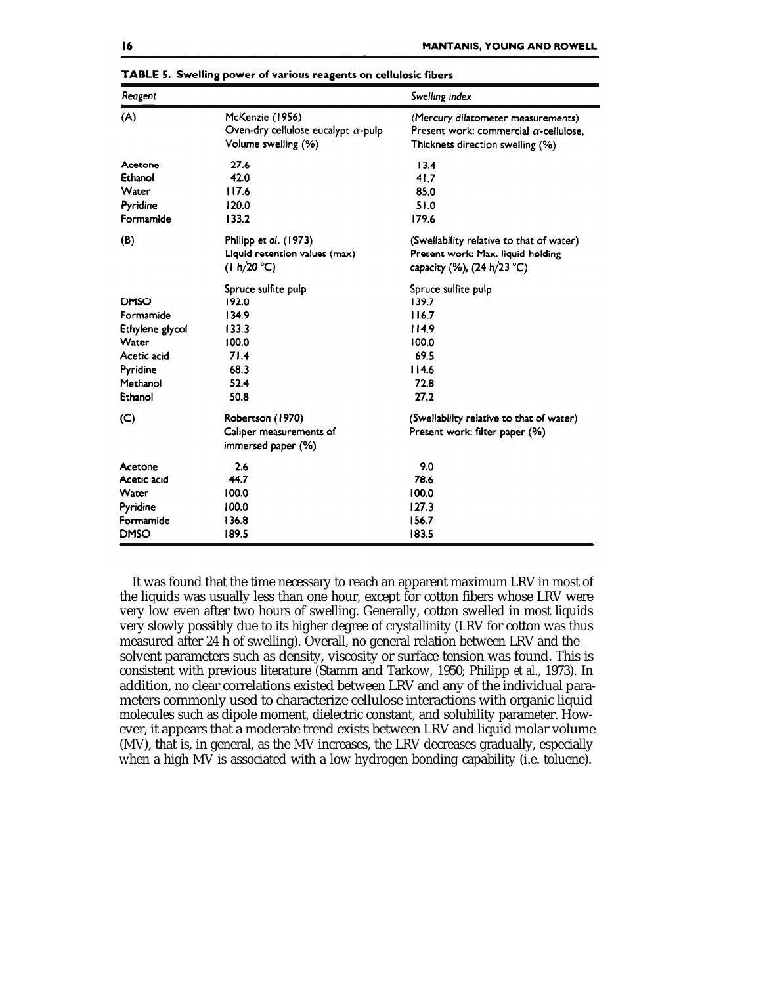| Reagent                                                                                                |                                                                                         | Swelling index                                                                                                          |
|--------------------------------------------------------------------------------------------------------|-----------------------------------------------------------------------------------------|-------------------------------------------------------------------------------------------------------------------------|
| (A)                                                                                                    | McKenzie (1956)<br>Oven-dry cellulose eucalypt $\alpha$ -pulp<br>Volume swelling (%)    | (Mercury dilatometer measurements)<br>Present work: commercial $\alpha$ -cellulose.<br>Thickness direction swelling (%) |
| Acetone<br>Ethanol<br>Water<br>Pyridine<br>Formamide                                                   | 27.6<br>42.0<br>117.6<br>120.0<br>133.2                                                 | 13.4<br>41.7<br>85.0<br>51.0<br>179.6                                                                                   |
| (B)                                                                                                    | Philipp et al. (1973)<br>Liquid retention values (max)<br>(1 h/20 °C)                   | (Swellability relative to that of water)<br>Present work: Max. liquid-holding<br>capacity (%), (24 h/23 °C)             |
| <b>DMSO</b><br>Formamide<br>Ethylene glycol<br>Water<br>Acetic acid<br>Pyridine<br>Methanol<br>Ethanol | Spruce sulfite pulp<br>192.0<br>134.9<br>133.3<br>100.0<br>71.4<br>68.3<br>52.4<br>50.8 | Spruce sulfite pulp<br>139.7<br>116.7<br>114.9<br>100.0<br>69.5<br>114.6<br>72.8<br>27.2                                |
| (C)                                                                                                    | Robertson (1970)<br>Caliper measurements of<br>immersed paper (%)                       | (Swellability relative to that of water)<br>Present work: filter paper (%)                                              |
| Acetone<br>Acetic acid<br>Water<br>Pyridine<br>Formamide<br><b>DMSO</b>                                | 2.6<br>44.7<br>100.0<br>100.0<br>136.8<br>189.5                                         | 9.0<br>78.6<br>100.0<br>127.3<br>156.7<br>183.5                                                                         |

TABLE 5. Swelling power of various reagents on cellulosic fibers

It was found that the time necessary to reach an apparent maximum LRV in most of the liquids was usually less than one hour, except for cotton fibers whose LRV were very low even after two hours of swelling. Generally, cotton swelled in most liquids very slowly possibly due to its higher degree of crystallinity (LRV for cotton was thus measured after 24 h of swelling). Overall, no general relation between LRV and the solvent parameters such as density, viscosity or surface tension was found. This is consistent with previous literature (Stamm and Tarkow, 1950; Philipp *et al.,* 1973). In addition, no clear correlations existed between LRV and any of the individual parameters commonly used to characterize cellulose interactions with organic liquid molecules such as dipole moment, dielectric constant, and solubility parameter. However, it appears that a moderate trend exists between LRV and liquid molar volume (MV), that is, in general, as the MV increases, the LRV decreases gradually, especially when a high MV is associated with a low hydrogen bonding capability (i.e. toluene).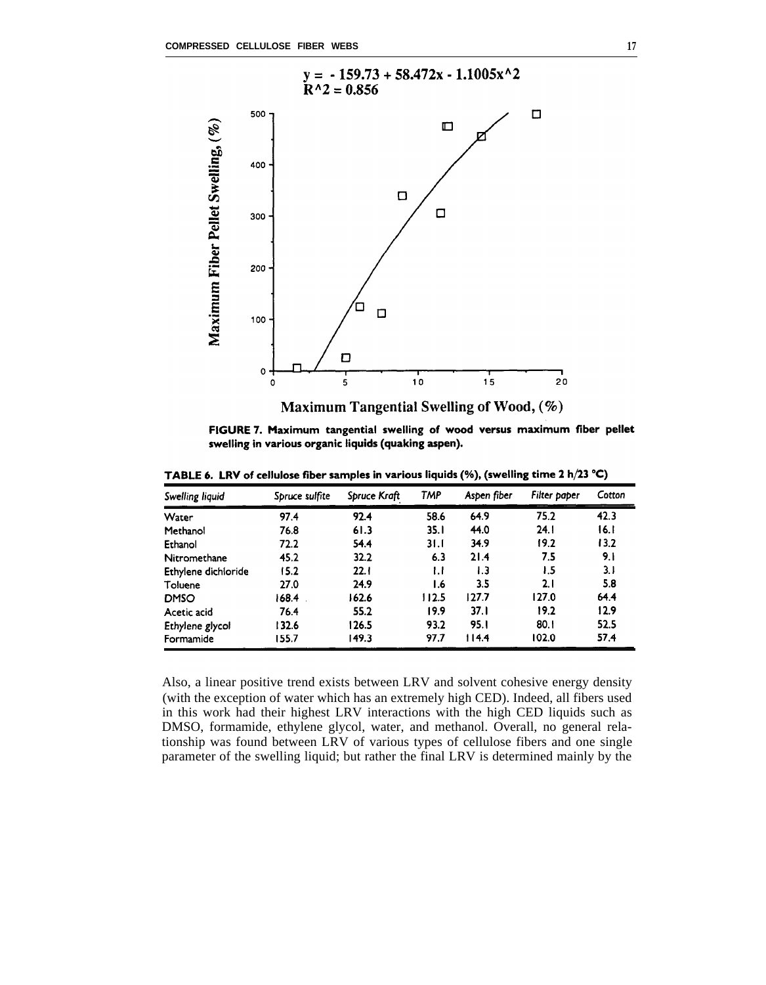

Maximum Tangential Swelling of Wood, (%)

FIGURE 7. Maximum tangential swelling of wood versus maximum fiber pellet swelling in various organic liquids (quaking aspen).

| Swelling liquid     | Spruce sulfite | <b>Spruce Kraft</b> | TMP   | Aspen fiber | Filter paper | Cotton |
|---------------------|----------------|---------------------|-------|-------------|--------------|--------|
| Water               | 97.4           | 92.4                | 58.6  | 64.9        | 75.2         | 42.3   |
| Methanol            | 76.8           | 61.3                | 35.1  | 44.0        | 24.1         | 16. I  |
| Ethanol             | 72.2           | 54.4                | 31.I  | 34.9        | 19.2         | 13.2   |
| Nitromethane        | 45.2           | 32.2                | 6.3   | 21.4        | 7.5          | 9.1    |
| Ethylene dichloride | 15.2           | 22.1                | IJ    | 1.3         | 1.5          | 3.1    |
| Toluene             | 27.0           | 24.9                | l.6   | 3.5         | 2.1          | 5.8    |
| <b>DMSO</b>         | 68.4           | 162.6               | 112.5 | 127.7       | 127.0        | 64.4   |
| Acetic acid         | 76.4           | 55.2                | 19.9  | 37.1        | 19.2         | 12.9   |
| Ethylene glycol     | 132.6          | 126.5               | 93.2  | 95.1        | 80.1         | 52.5   |
| Formamide           | 155.7          | 149.3               | 97.7  | 114.4       | 102.0        | 57.4   |

TABLE 6. LRV of cellulose fiber samples in various liquids (%), (swelling time 2 h/23 °C)

Also, a linear positive trend exists between LRV and solvent cohesive energy density (with the exception of water which has an extremely high CED). Indeed, all fibers used in this work had their highest LRV interactions with the high CED liquids such as DMSO, formamide, ethylene glycol, water, and methanol. Overall, no general relationship was found between LRV of various types of cellulose fibers and one single parameter of the swelling liquid; but rather the final LRV is determined mainly by the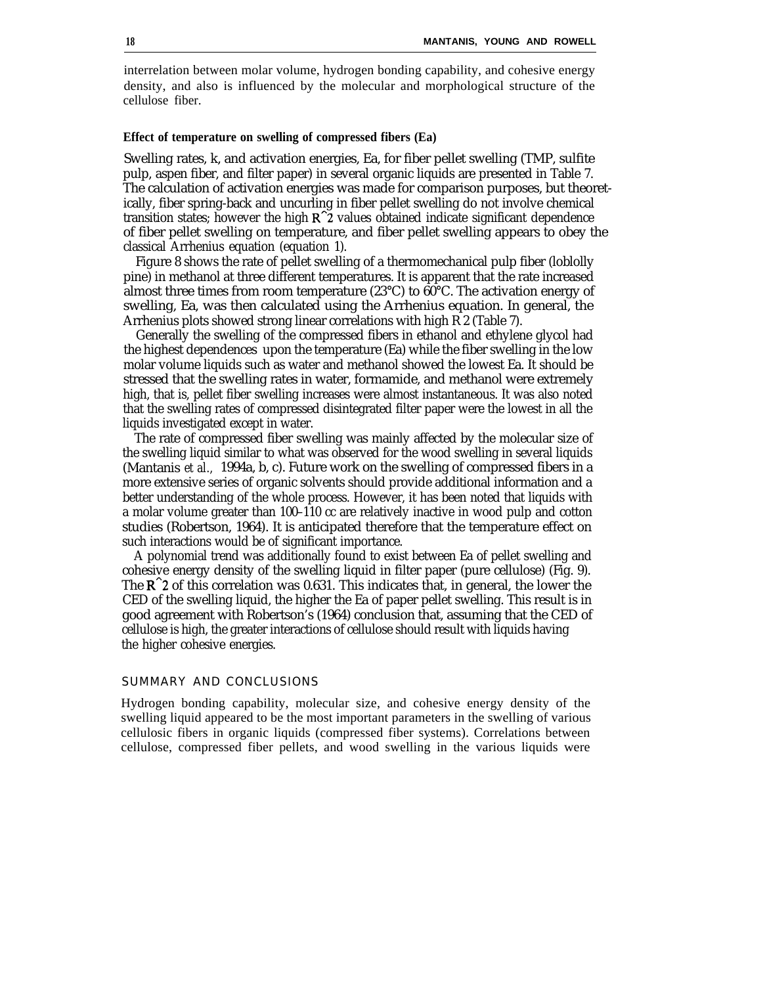interrelation between molar volume, hydrogen bonding capability, and cohesive energy density, and also is influenced by the molecular and morphological structure of the cellulose fiber.

#### **Effect of temperature on swelling of compressed fibers (Ea)**

Swelling rates, k, and activation energies, Ea, for fiber pellet swelling (TMP, sulfite pulp, aspen fiber, and filter paper) in several organic liquids are presented in Table 7. The calculation of activation energies was made for comparison purposes, but theoretically, fiber spring-back and uncurling in fiber pellet swelling do not involve chemical transition states; however the high  $R^2$  values obtained indicate significant dependence of fiber pellet swelling on temperature, and fiber pellet swelling appears to obey the classical Arrhenius equation (equation 1).

Figure 8 shows the rate of pellet swelling of a thermomechanical pulp fiber (loblolly pine) in methanol at three different temperatures. It is apparent that the rate increased almost three times from room temperature (23°C) to 60°C. The activation energy of swelling, Ea, was then calculated using the Arrhenius equation. In general, the Arrhenius plots showed strong linear correlations with high R 2 (Table 7).

Generally the swelling of the compressed fibers in ethanol and ethylene glycol had the highest dependences upon the temperature (Ea) while the fiber swelling in the low molar volume liquids such as water and methanol showed the lowest Ea. It should be stressed that the swelling rates in water, formamide, and methanol were extremely high, that is, pellet fiber swelling increases were almost instantaneous. It was also noted that the swelling rates of compressed disintegrated filter paper were the lowest in all the liquids investigated except in water.

The rate of compressed fiber swelling was mainly affected by the molecular size of the swelling liquid similar to what was observed for the wood swelling in several liquids (Mantanis *et al.,* 1994a, b, c). Future work on the swelling of compressed fibers in a more extensive series of organic solvents should provide additional information and a better understanding of the whole process. However, it has been noted that liquids with a molar volume greater than 100–110 cc are relatively inactive in wood pulp and cotton studies (Robertson, 1964). It is anticipated therefore that the temperature effect on such interactions would be of significant importance.

A polynomial trend was additionally found to exist between Ea of pellet swelling and cohesive energy density of the swelling liquid in filter paper (pure cellulose) (Fig. 9). The  $\mathbb{R}^2$  of this correlation was 0.631. This indicates that, in general, the lower the CED of the swelling liquid, the higher the Ea of paper pellet swelling. This result is in good agreement with Robertson's (1964) conclusion that, assuming that the CED of cellulose is high, the greater interactions of cellulose should result with liquids having the higher cohesive energies.

## SUMMARY AND CONCLUSIONS

Hydrogen bonding capability, molecular size, and cohesive energy density of the swelling liquid appeared to be the most important parameters in the swelling of various cellulosic fibers in organic liquids (compressed fiber systems). Correlations between cellulose, compressed fiber pellets, and wood swelling in the various liquids were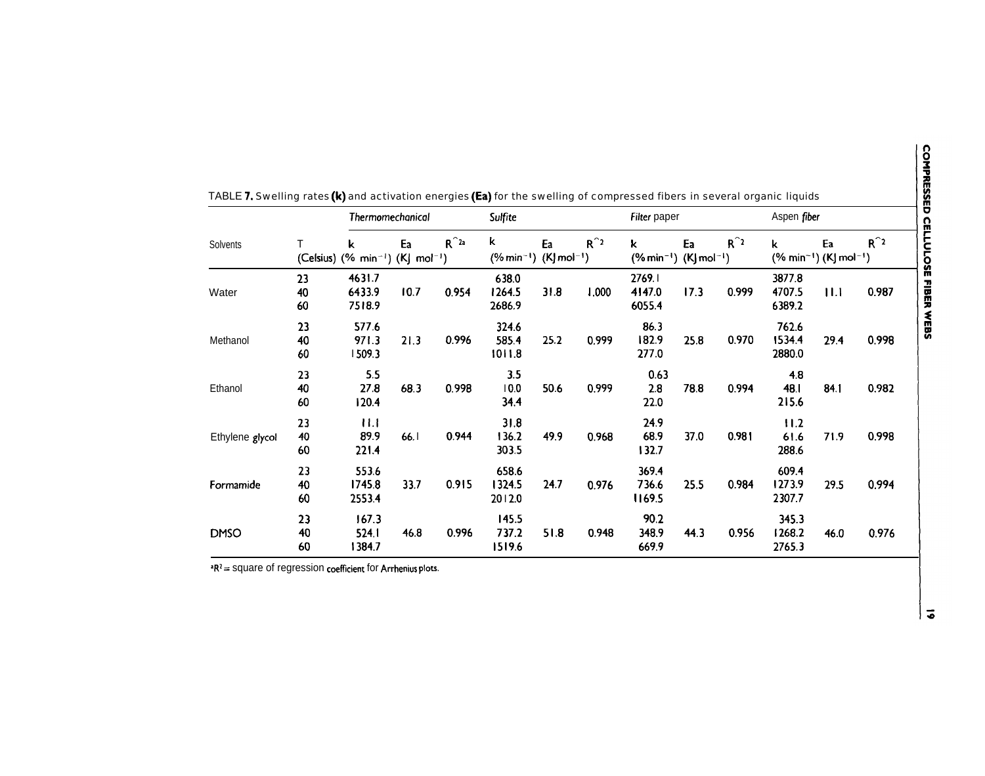|                 |                |                                                               | Thermomechanical |        | Sulfite                   |                                               |       | <b>Filter paper</b>                                               |      |       | Aspen fiber                |                                                  |       |
|-----------------|----------------|---------------------------------------------------------------|------------------|--------|---------------------------|-----------------------------------------------|-------|-------------------------------------------------------------------|------|-------|----------------------------|--------------------------------------------------|-------|
| Solvents        | Т              | k<br>(Celsius) (% min <sup>-1</sup> ) (KJ mol <sup>-1</sup> ) | Ea               | $R^2a$ | k                         | Ea<br>$(\% min^{-1})$ (K] mol <sup>-1</sup> ) | $R^2$ | k.<br>$(% )^{(1)}$ (% min <sup>-1</sup> ) (KJ mol <sup>-1</sup> ) | Ea   | $R^2$ | k                          | Ea<br>$(% \mathbb{R}^n)$ (KJ mol <sup>-1</sup> ) | $R^2$ |
| Water           | 23<br>40<br>60 | 4631.7<br>6433.9<br>7518.9                                    | 10.7             | 0.954  | 638.0<br>1264.5<br>2686.9 | 31.8                                          | 1.000 | 2769.1<br>4147.0<br>6055.4                                        | 17.3 | 0.999 | 3877.8<br>4707.5<br>6389.2 | 11.1                                             | 0.987 |
| Methanol        | 23<br>40<br>60 | 577.6<br>971.3<br>1509.3                                      | 21.3             | 0.996  | 324.6<br>585.4<br>1011.8  | 25.2                                          | 0.999 | 86.3<br>182.9<br>277.0                                            | 25.8 | 0.970 | 762.6<br>1534.4<br>2880.0  | 29.4                                             | 0.998 |
| Ethanol         | 23<br>40<br>60 | 5.5<br>27.8<br>120.4                                          | 68.3             | 0.998  | 3.5<br>10.0<br>34.4       | 50.6                                          | 0.999 | 0.63<br>2.8<br>22.0                                               | 78.8 | 0.994 | 4.8<br>48.1<br>215.6       | 84.1                                             | 0.982 |
| Ethylene glycol | 23<br>40<br>60 | 11.1<br>89.9<br>221.4                                         | 66.1             | 0.944  | 31.8<br>136.2<br>303.5    | 49.9                                          | 0.968 | 24.9<br>68.9<br>132.7                                             | 37.0 | 0.981 | 11.2<br>61.6<br>288.6      | 71.9                                             | 0.998 |
| Formamide       | 23<br>40<br>60 | 553.6<br>1745.8<br>2553.4                                     | 33.7             | 0.915  | 658.6<br>1324.5<br>2012.0 | 24.7                                          | 0.976 | 369.4<br>736.6<br>1169.5                                          | 25.5 | 0.984 | 609.4<br>1273.9<br>2307.7  | 29.5                                             | 0.994 |
| <b>DMSO</b>     | 23<br>40<br>60 | 167.3<br>524.1<br>1384.7                                      | 46.8             | 0.996  | 145.5<br>737.2<br>1519.6  | 51.8                                          | 0.948 | 90.2<br>348.9<br>669.9                                            | 44.3 | 0.956 | 345.3<br>1268.2<br>2765.3  | 46.0                                             | 0.976 |

TABLE 7. Swelling rates (k) and activation energies (Es) for the swelling of compressed fibers in several organic liquids

 ${}^{a}R^{2}$  = square of regression coefficient for Arrhenius plots.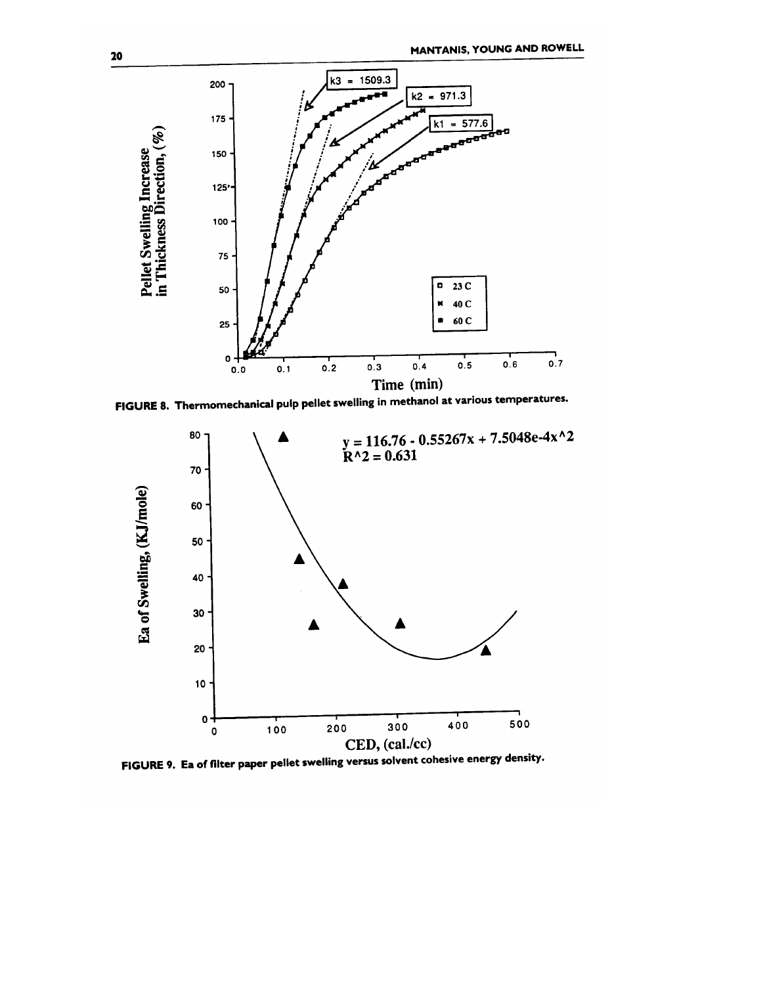

FIGURE 8. Thermomechanical pulp pellet swelling in methanol at various temperatures.



FIGURE 9. Ea of filter paper pellet swelling versus solvent cohesive energy density.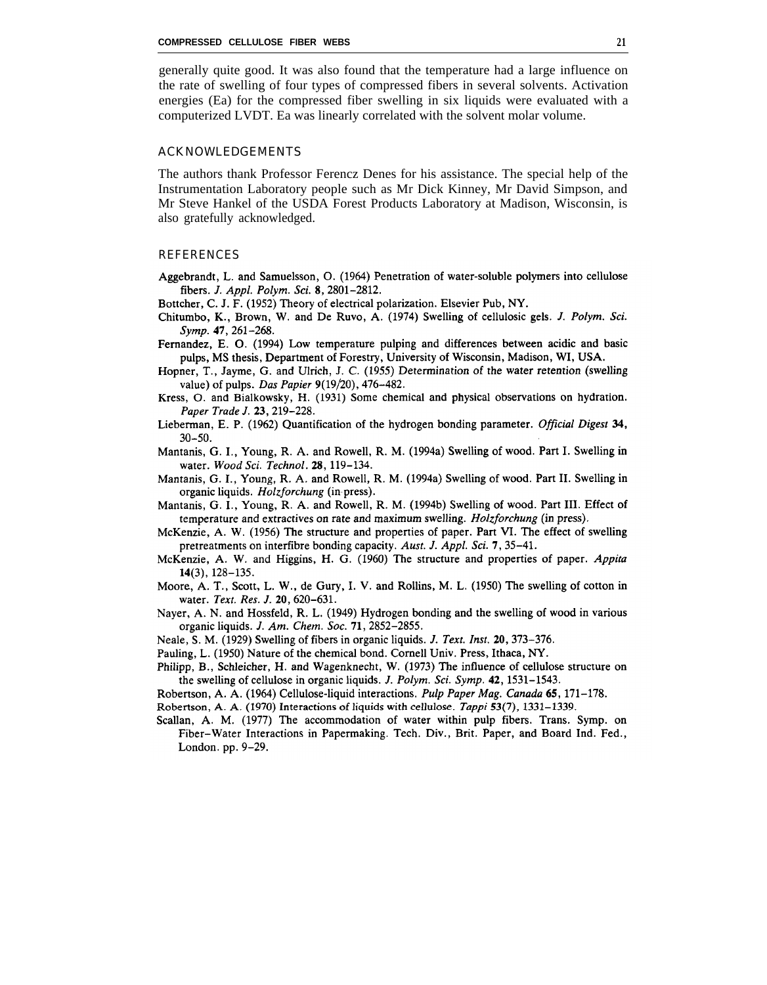generally quite good. It was also found that the temperature had a large influence on the rate of swelling of four types of compressed fibers in several solvents. Activation energies (Ea) for the compressed fiber swelling in six liquids were evaluated with a computerized LVDT. Ea was linearly correlated with the solvent molar volume.

# ACKNOWLEDGEMENTS

The authors thank Professor Ferencz Denes for his assistance. The special help of the Instrumentation Laboratory people such as Mr Dick Kinney, Mr David Simpson, and Mr Steve Hankel of the USDA Forest Products Laboratory at Madison, Wisconsin, is also gratefully acknowledged.

## REFERENCES

- Aggebrandt, L. and Samuelsson, O. (1964) Penetration of water-soluble polymers into cellulose fibers. J. Appl. Polym. Sci. 8, 2801-2812.
- Bottcher, C. J. F. (1952) Theory of electrical polarization. Elsevier Pub, NY.
- Chitumbo, K., Brown, W. and De Ruvo, A. (1974) Swelling of cellulosic gels. J. Polym. Sci. Symp. 47, 261-268.
- Fernandez, E. O. (1994) Low temperature pulping and differences between acidic and basic pulps, MS thesis, Department of Forestry, University of Wisconsin, Madison, WI, USA.
- Hopner, T., Jayme, G. and Ulrich, J. C. (1955) Determination of the water retention (swelling value) of pulps. Das Papier 9(19/20), 476-482.
- Kress, O. and Bialkowsky, H. (1931) Some chemical and physical observations on hydration. Paper Trade J. 23, 219-228.
- Lieberman, E. P. (1962) Quantification of the hydrogen bonding parameter. Official Digest 34,  $30 - 50.$
- Mantanis, G. I., Young, R. A. and Rowell, R. M. (1994a) Swelling of wood. Part I. Swelling in water. Wood Sci. Technol. 28, 119-134.
- Mantanis, G. I., Young, R. A. and Rowell, R. M. (1994a) Swelling of wood. Part II. Swelling in organic liquids. Holzforchung (in-press).
- Mantanis, G. I., Young, R. A. and Rowell, R. M. (1994b) Swelling of wood. Part III. Effect of temperature and extractives on rate and maximum swelling. *Holzforchung* (in press).
- McKenzie, A. W. (1956) The structure and properties of paper. Part VI. The effect of swelling pretreatments on interfibre bonding capacity. Aust. J. Appl. Sci. 7, 35-41.
- McKenzie, A. W. and Higgins, H. G. (1960) The structure and properties of paper. Appita  $14(3)$ ,  $128-135$ .
- Moore, A. T., Scott, L. W., de Gury, I. V. and Rollins, M. L. (1950) The swelling of cotton in water. Text. Res. J. 20, 620-631.
- Nayer, A. N. and Hossfeld, R. L. (1949) Hydrogen bonding and the swelling of wood in various organic liquids. J. Am. Chem. Soc. 71, 2852-2855.
- Neale, S. M. (1929) Swelling of fibers in organic liquids. J. Text. Inst. 20, 373-376.
- Pauling, L. (1950) Nature of the chemical bond. Cornell Univ. Press, Ithaca, NY.
- Philipp, B., Schleicher, H. and Wagenknecht, W. (1973) The influence of cellulose structure on the swelling of cellulose in organic liquids. J. Polym. Sci. Symp. 42, 1531-1543.
- Robertson, A. A. (1964) Cellulose-liquid interactions. Pulp Paper Mag. Canada 65, 171-178.
- Robertson, A. A. (1970) Interactions of liquids with cellulose. Tappi 53(7), 1331-1339.
- Scallan, A. M. (1977) The accommodation of water within pulp fibers. Trans. Symp. on Fiber-Water Interactions in Papermaking. Tech. Div., Brit. Paper, and Board Ind. Fed., London. pp. 9-29.